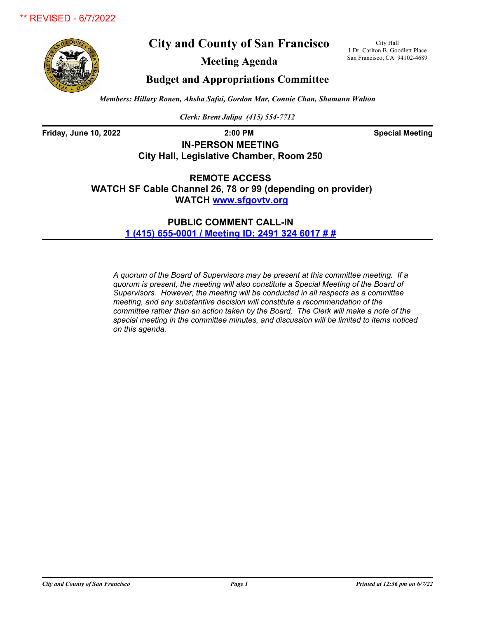**City and County of San Francisco**

City Hall 1 Dr. Carlton B. Goodlett Place San Francisco, CA 94102-4689

**Meeting Agenda**

**Budget and Appropriations Committee**

*Members: Hillary Ronen, Ahsha Safai, Gordon Mar, Connie Chan, Shamann Walton*

*Clerk: Brent Jalipa (415) 554-7712*

**Friday, June 10, 2022 2:00 PM Special Meeting**

**IN-PERSON MEETING City Hall, Legislative Chamber, Room 250**

**REMOTE ACCESS WATCH SF Cable Channel 26, 78 or 99 (depending on provider) WATCH<www.sfgovtv.org>**

> **PUBLIC COMMENT CALL-IN [1 \(415\) 655-0001 / Meeting ID: 2491 324 6017 # #](tel:+14156550001,,24913246017#,,#)**

*A quorum of the Board of Supervisors may be present at this committee meeting. If a quorum is present, the meeting will also constitute a Special Meeting of the Board of Supervisors. However, the meeting will be conducted in all respects as a committee meeting, and any substantive decision will constitute a recommendation of the committee rather than an action taken by the Board. The Clerk will make a note of the special meeting in the committee minutes, and discussion will be limited to items noticed on this agenda.*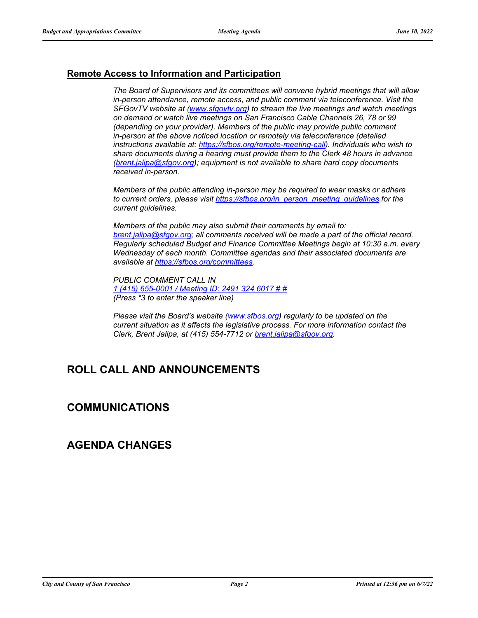### **Remote Access to Information and Participation**

*The Board of Supervisors and its committees will convene hybrid meetings that will allow in-person attendance, remote access, and public comment via teleconference. Visit the SFGovTV website at [\(www.sfgovtv.org\)](www.sfgovtv.org) to stream the live meetings and watch meetings on demand or watch live meetings on San Francisco Cable Channels 26, 78 or 99 (depending on your provider). Members of the public may provide public comment in-person at the above noticed location or remotely via teleconference (detailed instructions available at: [https://sfbos.org/remote-meeting-call\)](https://sfbos.org/remote-meeting-call). Individuals who wish to share documents during a hearing must provide them to the Clerk 48 hours in advance [\(brent.jalipa@sfgov.org\);](mailto:brent.jalipa@sfgov.org) equipment is not available to share hard copy documents received in-person.*

*Members of the public attending in-person may be required to wear masks or adhere to current orders, please visit [https://sfbos.org/in\\_person\\_meeting\\_guidelines](https://sfbos.org/in_person_meeting_guidelines) for the current guidelines.*

*Members of the public may also submit their comments by email to: [brent.jalipa@sfgov.org;](mailto:brent.jalipa@sfgov.org) all comments received will be made a part of the official record. Regularly scheduled Budget and Finance Committee Meetings begin at 10:30 a.m. every Wednesday of each month. Committee agendas and their associated documents are available at [https://sfbos.org/committees.](https://sfbos.org/committees)*

*PUBLIC COMMENT CALL IN [1 \(415\) 655-0001 / Meeting ID: 2491 324 6017 # #](tel:+14156550001,,24913246017#,,#) (Press \*3 to enter the speaker line)*

*Please visit the Board's website [\(www.sfbos.org\)](https://sfbos.org) regularly to be updated on the current situation as it affects the legislative process. For more information contact the Clerk, Brent Jalipa, at (415) 554-7712 or [brent.jalipa@sfgov.org.](mailto:brent.jalipa@sfgov.org)*

# **ROLL CALL AND ANNOUNCEMENTS**

# **COMMUNICATIONS**

# **AGENDA CHANGES**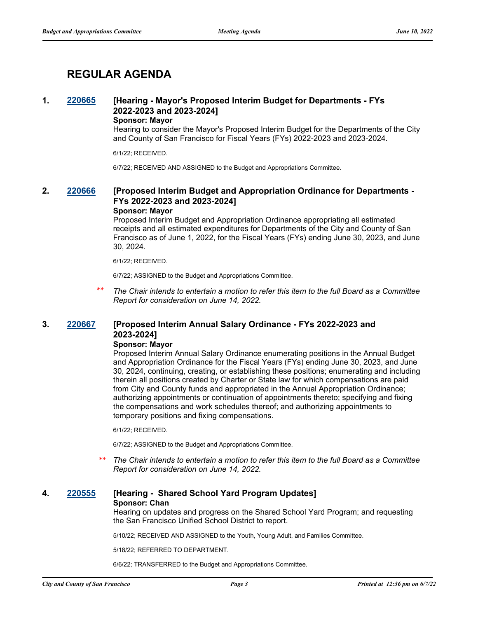# **REGULAR AGENDA**

## **1. [220665](http://sfgov.legistar.com/gateway.aspx?m=l&id=38857) [Hearing - Mayor's Proposed Interim Budget for Departments - FYs 2022-2023 and 2023-2024]**

### **Sponsor: Mayor**

Hearing to consider the Mayor's Proposed Interim Budget for the Departments of the City and County of San Francisco for Fiscal Years (FYs) 2022-2023 and 2023-2024.

6/1/22; RECEIVED.

6/7/22; RECEIVED AND ASSIGNED to the Budget and Appropriations Committee.

## **2. [220666](http://sfgov.legistar.com/gateway.aspx?m=l&id=38858) [Proposed Interim Budget and Appropriation Ordinance for Departments - FYs 2022-2023 and 2023-2024]**

#### **Sponsor: Mayor**

Proposed Interim Budget and Appropriation Ordinance appropriating all estimated receipts and all estimated expenditures for Departments of the City and County of San Francisco as of June 1, 2022, for the Fiscal Years (FYs) ending June 30, 2023, and June 30, 2024.

6/1/22; RECEIVED.

6/7/22; ASSIGNED to the Budget and Appropriations Committee.

*The Chair intends to entertain a motion to refer this item to the full Board as a Committee Report for consideration on June 14, 2022.* \*\*

## **3. [220667](http://sfgov.legistar.com/gateway.aspx?m=l&id=38859) [Proposed Interim Annual Salary Ordinance - FYs 2022-2023 and 2023-2024]**

### **Sponsor: Mayor**

Proposed Interim Annual Salary Ordinance enumerating positions in the Annual Budget and Appropriation Ordinance for the Fiscal Years (FYs) ending June 30, 2023, and June 30, 2024, continuing, creating, or establishing these positions; enumerating and including therein all positions created by Charter or State law for which compensations are paid from City and County funds and appropriated in the Annual Appropriation Ordinance; authorizing appointments or continuation of appointments thereto; specifying and fixing the compensations and work schedules thereof; and authorizing appointments to temporary positions and fixing compensations.

6/1/22; RECEIVED.

6/7/22; ASSIGNED to the Budget and Appropriations Committee.

*The Chair intends to entertain a motion to refer this item to the full Board as a Committee Report for consideration on June 14, 2022.* \*\*

### **4. [220555](http://sfgov.legistar.com/gateway.aspx?m=l&id=38747) [Hearing - Shared School Yard Program Updates]**

#### **Sponsor: Chan**

Hearing on updates and progress on the Shared School Yard Program; and requesting the San Francisco Unified School District to report.

5/10/22; RECEIVED AND ASSIGNED to the Youth, Young Adult, and Families Committee.

5/18/22; REFERRED TO DEPARTMENT.

6/6/22; TRANSFERRED to the Budget and Appropriations Committee.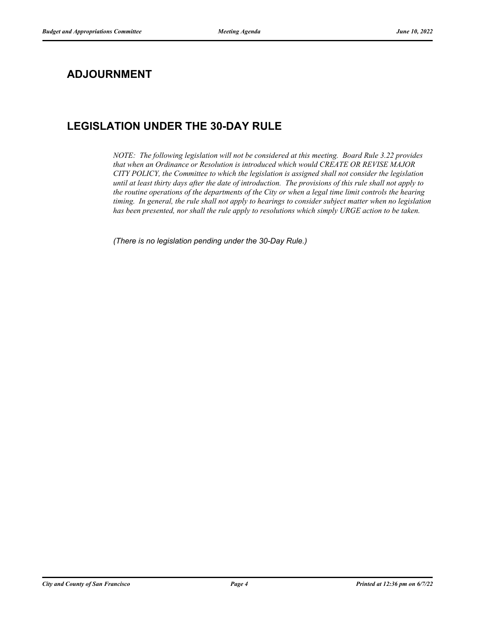# **ADJOURNMENT**

# **LEGISLATION UNDER THE 30-DAY RULE**

*NOTE: The following legislation will not be considered at this meeting. Board Rule 3.22 provides that when an Ordinance or Resolution is introduced which would CREATE OR REVISE MAJOR CITY POLICY, the Committee to which the legislation is assigned shall not consider the legislation until at least thirty days after the date of introduction. The provisions of this rule shall not apply to the routine operations of the departments of the City or when a legal time limit controls the hearing timing. In general, the rule shall not apply to hearings to consider subject matter when no legislation has been presented, nor shall the rule apply to resolutions which simply URGE action to be taken.*

*(There is no legislation pending under the 30-Day Rule.)*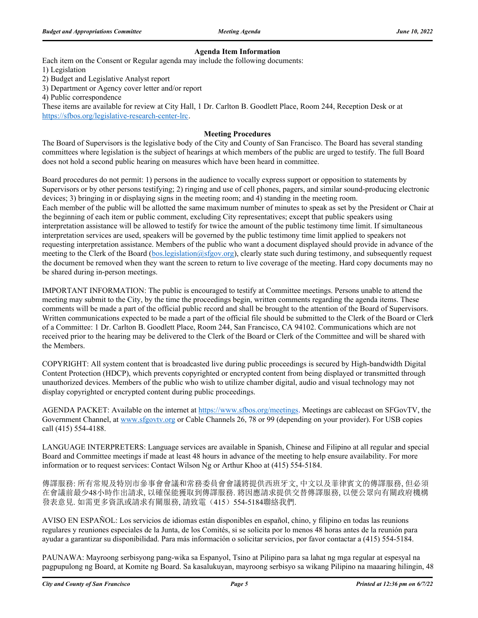#### **Agenda Item Information**

Each item on the Consent or Regular agenda may include the following documents:

1) Legislation

2) Budget and Legislative Analyst report

3) Department or Agency cover letter and/or report

4) Public correspondence

These items are available for review at City Hall, 1 Dr. Carlton B. Goodlett Place, Room 244, Reception Desk or at https://sfbos.org/legislative-research-center-lrc.

#### **Meeting Procedures**

The Board of Supervisors is the legislative body of the City and County of San Francisco. The Board has several standing committees where legislation is the subject of hearings at which members of the public are urged to testify. The full Board does not hold a second public hearing on measures which have been heard in committee.

Board procedures do not permit: 1) persons in the audience to vocally express support or opposition to statements by Supervisors or by other persons testifying; 2) ringing and use of cell phones, pagers, and similar sound-producing electronic devices; 3) bringing in or displaying signs in the meeting room; and 4) standing in the meeting room. Each member of the public will be allotted the same maximum number of minutes to speak as set by the President or Chair at the beginning of each item or public comment, excluding City representatives; except that public speakers using interpretation assistance will be allowed to testify for twice the amount of the public testimony time limit. If simultaneous interpretation services are used, speakers will be governed by the public testimony time limit applied to speakers not requesting interpretation assistance. Members of the public who want a document displayed should provide in advance of the meeting to the Clerk of the Board (bos.legislation@sfgov.org), clearly state such during testimony, and subsequently request the document be removed when they want the screen to return to live coverage of the meeting. Hard copy documents may no be shared during in-person meetings.

IMPORTANT INFORMATION: The public is encouraged to testify at Committee meetings. Persons unable to attend the meeting may submit to the City, by the time the proceedings begin, written comments regarding the agenda items. These comments will be made a part of the official public record and shall be brought to the attention of the Board of Supervisors. Written communications expected to be made a part of the official file should be submitted to the Clerk of the Board or Clerk of a Committee: 1 Dr. Carlton B. Goodlett Place, Room 244, San Francisco, CA 94102. Communications which are not received prior to the hearing may be delivered to the Clerk of the Board or Clerk of the Committee and will be shared with the Members.

COPYRIGHT: All system content that is broadcasted live during public proceedings is secured by High-bandwidth Digital Content Protection (HDCP), which prevents copyrighted or encrypted content from being displayed or transmitted through unauthorized devices. Members of the public who wish to utilize chamber digital, audio and visual technology may not display copyrighted or encrypted content during public proceedings.

AGENDA PACKET: Available on the internet at https://www.sfbos.org/meetings. Meetings are cablecast on SFGovTV, the Government Channel, at www.sfgovtv.org or Cable Channels 26, 78 or 99 (depending on your provider). For USB copies call (415) 554-4188.

LANGUAGE INTERPRETERS: Language services are available in Spanish, Chinese and Filipino at all regular and special Board and Committee meetings if made at least 48 hours in advance of the meeting to help ensure availability. For more information or to request services: Contact Wilson Ng or Arthur Khoo at (415) 554-5184.

傳譯服務: 所有常規及特別市參事會會議和常務委員會會議將提供西班牙文, 中文以及菲律賓文的傳譯服務, 但必須 在會議前最少48小時作出請求, 以確保能獲取到傳譯服務. 將因應請求提供交替傳譯服務, 以便公眾向有關政府機構 發表意見. 如需更多資訊或請求有關服務, 請致電(415) 554-5184聯絡我們.

AVISO EN ESPAÑOL: Los servicios de idiomas están disponibles en español, chino, y filipino en todas las reunions regulares y reuniones especiales de la Junta, de los Comités, si se solicita por lo menos 48 horas antes de la reunión para ayudar a garantizar su disponibilidad. Para más información o solicitar servicios, por favor contactar a (415) 554-5184.

PAUNAWA: Mayroong serbisyong pang-wika sa Espanyol, Tsino at Pilipino para sa lahat ng mga regular at espesyal na pagpupulong ng Board, at Komite ng Board. Sa kasalukuyan, mayroong serbisyo sa wikang Pilipino na maaaring hilingin, 48